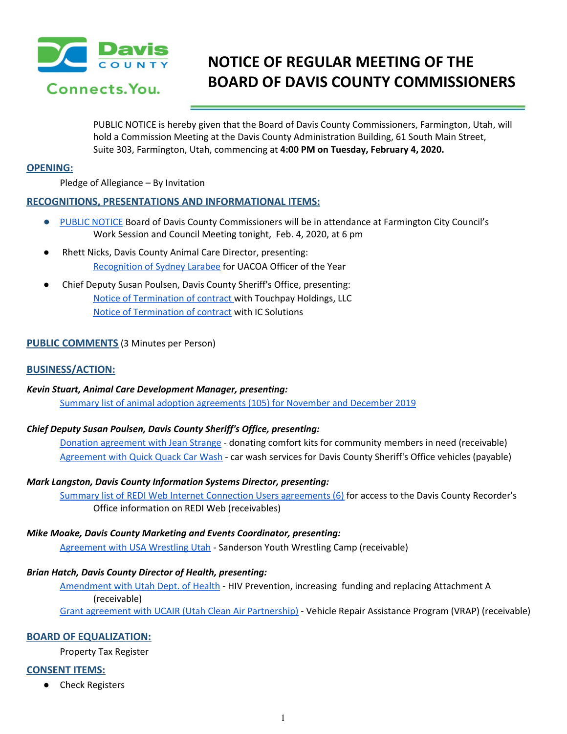

# **NOTICE OF REGULAR MEETING OF THE BOARD OF DAVIS COUNTY COMMISSIONERS**

PUBLIC NOTICE is hereby given that the Board of Davis County Commissioners, Farmington, Utah, will hold a Commission Meeting at the Davis County Administration Building, 61 South Main Street, Suite 303, Farmington, Utah, commencing at **4:00 PM on Tuesday, February 4, 2020.**

## **OPENING:**

Pledge of Allegiance – By Invitation

# **RECOGNITIONS, PRESENTATIONS AND INFORMATIONAL ITEMS:**

- **●** PUBLIC [NOTICE](https://drive.google.com/a/co.davis.ut.us/file/d/1hx_zhjY7d09TFVEdD7uZFucwptkbAqfo/view?usp=drivesdk) Board of Davis County Commissioners will be in attendance at Farmington City Council's Work Session and Council Meeting tonight, Feb. 4, 2020, at 6 pm
- Rhett Nicks, Davis County Animal Care Director, presenting: [Recognition](https://drive.google.com/a/co.davis.ut.us/file/d/1QZT0fN8B2mGdfnncj3ezgUotTHY02M1x/view?usp=drivesdk) of Sydney Larabee for UACOA Officer of the Year
- Chief Deputy Susan Poulsen, Davis County Sheriff's Office, presenting: Notice of [Termination](https://drive.google.com/a/co.davis.ut.us/file/d/11vyK_LBM3LaMBJk4sNHbCMtJT5BbZCy4/view?usp=drivesdk) of contract with Touchpay Holdings, LLC Notice of [Termination](https://drive.google.com/a/co.davis.ut.us/file/d/1Pfdx0Pd4SwTO9GP_KKcOrFGmdpuQnCcc/view?usp=drivesdk) of contract with IC Solutions

# **PUBLIC COMMENTS** (3 Minutes per Person)

### **BUSINESS/ACTION:**

### *Kevin Stuart, Animal Care Development Manager, presenting:*

Summary list of animal adoption [agreements](https://drive.google.com/a/co.davis.ut.us/file/d/10Ol39sY3gtAcu9Z3mFdbCUVNG2Y6DPaA/view?usp=drivesdk) (105) for November and December 2019

### *Chief Deputy Susan Poulsen, Davis County Sheriff's Office, presenting:*

Donation [agreement](https://drive.google.com/a/co.davis.ut.us/file/d/10frbprnyOZLPrrrCpcvti-M8BrMGtVOW/view?usp=drivesdk) with Jean Strange - donating comfort kits for community members in need (receivable) [Agreement](https://drive.google.com/a/co.davis.ut.us/file/d/1dPCs4x8oEjTPAn9uLnFao2EaS99h3-g0/view?usp=drivesdk) with Quick Quack Car Wash - car wash services for Davis County Sheriff's Office vehicles (payable)

### *Mark Langston, Davis County Information Systems Director, presenting:*

Summary list of REDI Web Internet Connection Users [agreements](https://drive.google.com/a/co.davis.ut.us/file/d/1GhhGa-AmB1p0TKra9JvLGS8XiuJEuGXl/view?usp=drivesdk) (6) for access to the Davis County Recorder's Office information on REDI Web (receivables)

### *Mike Moake, Davis County Marketing and Events Coordinator, presenting:*

[Agreement](https://drive.google.com/a/co.davis.ut.us/file/d/1CddMXB8Ay1SQcAydDeF4xsrkvdhtM0GN/view?usp=drivesdk) with USA Wrestling Utah - Sanderson Youth Wrestling Camp (receivable)

### *Brian Hatch, Davis County Director of Health, presenting:*

[Amendment](https://drive.google.com/a/co.davis.ut.us/file/d/1Zf4ZhZED64bu-KbYtlJmIXapHdJLfsiR/view?usp=drivesdk) with Utah Dept. of Health - HIV Prevention, increasing funding and replacing Attachment A (receivable)

Grant agreement with UCAIR (Utah Clean Air [Partnership\)](https://drive.google.com/a/co.davis.ut.us/file/d/1Vlzv0XHWnh6yszJqrFwb5p-zzVHPk9--/view?usp=drivesdk) - Vehicle Repair Assistance Program (VRAP) (receivable)

### **BOARD OF EQUALIZATION:**

Property Tax Register

### **CONSENT ITEMS:**

**Check Registers**